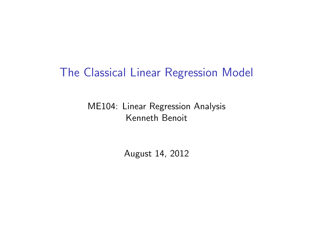## The Classical Linear Regression Model

#### ME104: Linear Regression Analysis Kenneth Benoit

August 14, 2012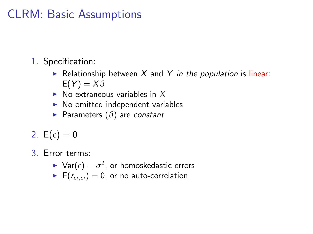## CLRM: Basic Assumptions

- 1. Specification:
	- Relationship between  $X$  and  $Y$  in the population is linear:  $E(Y) = X\beta$
	- $\triangleright$  No extraneous variables in X
	- $\triangleright$  No omitted independent variables
	- Parameters  $(\beta)$  are constant
- 2.  $E(\epsilon) = 0$
- 3. Error terms:
	- $\blacktriangleright$   $\mathsf{Var}(\epsilon) = \sigma^2$ , or homoskedastic errors
	- $\blacktriangleright$   $\, \mathsf{E} (r_{\epsilon_i, \epsilon_j}) = 0,$  or no auto-correlation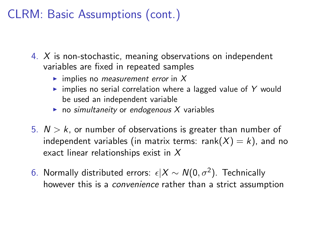## CLRM: Basic Assumptions (cont.)

- 4. X is non-stochastic, meaning observations on independent variables are fixed in repeated samples
	- $\blacktriangleright$  implies no *measurement error* in X
	- $\triangleright$  implies no serial correlation where a lagged value of Y would be used an independent variable
	- $\triangleright$  no simultaneity or endogenous X variables
- 5.  $N > k$ , or number of observations is greater than number of independent variables (in matrix terms: rank $(X) = k$ ), and no exact linear relationships exist in X
- 6. Normally distributed errors:  $\epsilon |X \sim N(0, \sigma^2)$ . Technically however this is a *convenience* rather than a strict assumption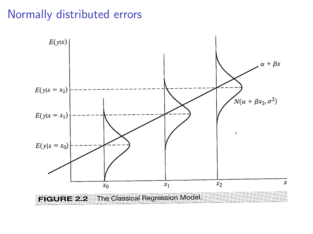## Normally distributed errors

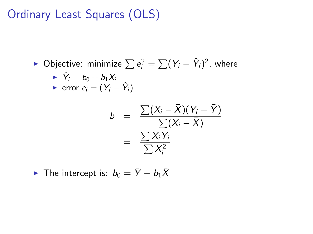## Ordinary Least Squares (OLS)

► Objective: minimize  $\sum e_i^2 = \sum (Y_i - \hat{Y}_i)^2$ , where

$$
\sum_{i=1}^{n} \hat{Y}_i = b_0 + b_1 X_i
$$
  
error  $e_i = (Y_i - \hat{Y}_i)$ 

$$
b = \frac{\sum (X_i - \bar{X})(Y_i - \bar{Y})}{\sum (X_i - \bar{X})}
$$
  
= 
$$
\frac{\sum X_i Y_i}{\sum X_i^2}
$$

• The intercept is: 
$$
b_0 = \overline{Y} - b_1 \overline{X}
$$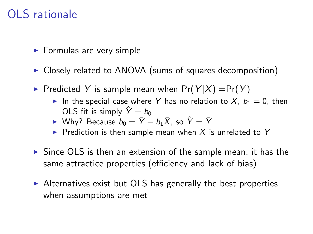## OLS rationale

- $\blacktriangleright$  Formulas are very simple
- ▶ Closely related to ANOVA (sums of squares decomposition)
- Predicted Y is sample mean when  $Pr(Y|X) = Pr(Y)$ 
	- In the special case where Y has no relation to X,  $b_1 = 0$ , then OLS fit is simply  $\hat{Y} = b_0$
	- ► Why? Because  $b_0 = \overline{Y} b_1\overline{X}$ , so  $\hat{Y} = \overline{Y}$
	- Prediction is then sample mean when X is unrelated to Y
- $\triangleright$  Since OLS is then an extension of the sample mean, it has the same attractice properties (efficiency and lack of bias)
- $\triangleright$  Alternatives exist but OLS has generally the best properties when assumptions are met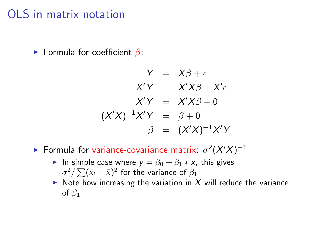### OLS in matrix notation

**Formula for coefficient**  $\beta$ **:** 

$$
Y = X\beta + \epsilon
$$
  
\n
$$
X'Y = X'X\beta + X'\epsilon
$$
  
\n
$$
X'Y = X'X\beta + 0
$$
  
\n
$$
(X'X)^{-1}X'Y = \beta + 0
$$
  
\n
$$
\beta = (X'X)^{-1}X'Y
$$

- Formula for variance-covariance matrix:  $\sigma^2(X/X)^{-1}$ 
	- In simple case where  $y = \beta_0 + \beta_1 * x$ , this gives  $\sigma^2/\sum (x_i-\bar{x})^2$  for the variance of  $\beta_1$
	- $\triangleright$  Note how increasing the variation in X will reduce the variance of  $\beta_1$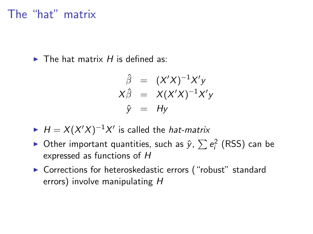#### The "hat" matrix

 $\blacktriangleright$  The hat matrix H is defined as:

$$
\hat{\beta} = (X'X)^{-1}X'y
$$
  
\n
$$
X\hat{\beta} = X(X'X)^{-1}X'y
$$
  
\n
$$
\hat{y} = Hy
$$

- $H = X(X'X)^{-1}X'$  is called the *hat-matrix*
- ▶ Other important quantities, such as  $\hat{y}$ ,  $\sum e_i^2$  (RSS) can be expressed as functions of H
- ▶ Corrections for heteroskedastic errors ("robust" standard errors) involve manipulating H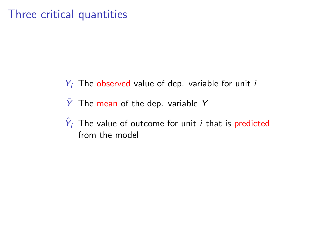## Three critical quantities

- $Y_i$  The observed value of dep. variable for unit i
- $\bar{Y}$  The mean of the dep. variable Y
- $\hat{Y}_i$  The value of outcome for unit *i* that is predicted from the model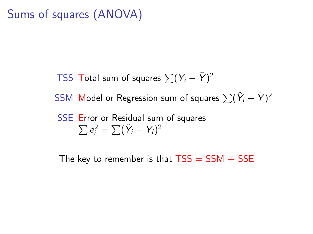## Sums of squares (ANOVA)

TSS Total sum of squares  $\sum (Y_i - \bar{Y})^2$ 

SSM Model or Regression sum of squares  $\sum (\hat{Y}_i - \bar{Y})^2$ 

SSE Error or Residual sum of squares  

$$
\sum e_i^2 = \sum (\hat{Y}_i - Y_i)^2
$$

The key to remember is that  $TSS = SSM + SSE$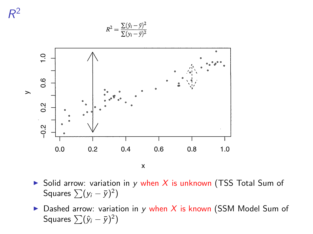

- Solid arrow: variation in y when X is unknown (TSS Total Sum of Squares  $\sum(y_i - \bar{y})^2$
- $\triangleright$  Dashed arrow: variation in y when X is known (SSM Model Sum of Squares  $\sum (\hat{y}_i - \bar{y})^2$ )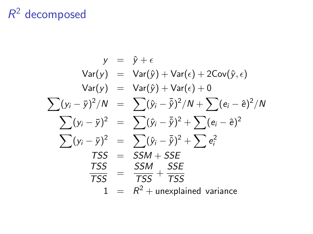# $R^2$  decomposed

$$
y = \hat{y} + \epsilon
$$
  
\n
$$
Var(y) = Var(\hat{y}) + Var(\epsilon) + 2Cov(\hat{y}, \epsilon)
$$
  
\n
$$
Var(y) = Var(\hat{y}) + Var(\epsilon) + 0
$$
  
\n
$$
\sum (y_i - \bar{y})^2/N = \sum (\hat{y}_i - \bar{\hat{y}})^2/N + \sum (e_i - \hat{e})^2/N
$$
  
\n
$$
\sum (y_i - \bar{y})^2 = \sum (\hat{y}_i - \bar{\hat{y}})^2 + \sum (e_i - \hat{e})^2
$$
  
\n
$$
\sum (y_i - \bar{y})^2 = \sum (\hat{y}_i - \bar{\hat{y}})^2 + \sum e_i^2
$$
  
\n
$$
TSS = SSM + SSE
$$
  
\n
$$
\frac{TSS}{TSS} = \frac{SSM}{TSS} + \frac{SSE}{TSS}
$$
  
\n
$$
1 = R^2 + unexplained variance
$$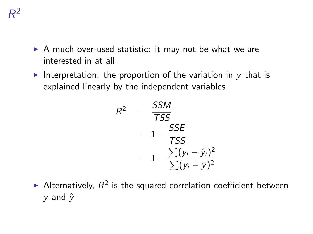- $\triangleright$  A much over-used statistic: it may not be what we are interested in at all
- Interpretation: the proportion of the variation in  $y$  that is explained linearly by the independent variables

$$
R^{2} = \frac{SSM}{TSS}
$$
  
= 1 - \frac{SSE}{TSS}  
= 1 - \frac{\sum(y\_{i} - \hat{y}\_{i})^{2}}{\sum(y\_{i} - \bar{y})^{2}}

Alternatively,  $R^2$  is the squared correlation coefficient between  $v$  and  $\hat{v}$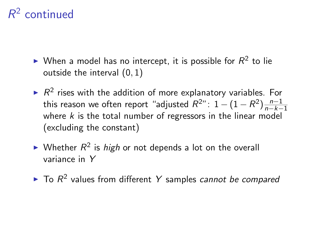# $R^2$  continued

- $\blacktriangleright$  When a model has no intercept, it is possible for  $R^2$  to lie outside the interval (0, 1)
- $\blacktriangleright$  R<sup>2</sup> rises with the addition of more explanatory variables. For this reason we often report "adjusted  $R^{2n}$ : 1  $(1-R^2)\frac{n-1}{n-k-1}$  $n-k-1$ where  $k$  is the total number of regressors in the linear model (excluding the constant)
- $\blacktriangleright$  Whether  $R^2$  is *high* or not depends a lot on the overall variance in Y
- $\blacktriangleright$  To  $R^2$  values from different Y samples cannot be compared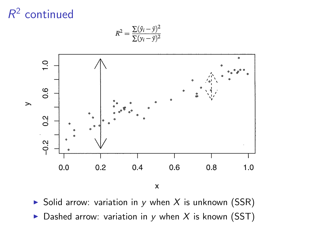# $R^2$  continued



 $R^2 = \frac{\sum (\hat{y}_i - \bar{y})^2}{\sum (\hat{y}_i - \bar{y})^2}$ 

 $\boldsymbol{\mathsf{x}}$ 

 $\triangleright$  Solid arrow: variation in y when X is unknown (SSR)  $\triangleright$  Dashed arrow: variation in y when X is known (SST)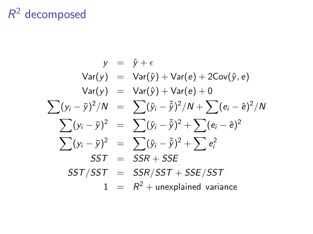# $R^2$  decomposed

$$
y = \hat{y} + \epsilon
$$
  
\n
$$
Var(y) = Var(\hat{y}) + Var(e) + 2Cov(\hat{y}, e)
$$
  
\n
$$
Var(y) = Var(\hat{y}) + Var(e) + 0
$$
  
\n
$$
\sum (y_i - \bar{y})^2/N = \sum (\hat{y}_i - \bar{\hat{y}})^2/N + \sum (e_i - \hat{e})^2/N
$$
  
\n
$$
\sum (y_i - \bar{y})^2 = \sum (\hat{y}_i - \bar{\hat{y}})^2 + \sum (e_i - \hat{e})^2
$$
  
\n
$$
\sum (y_i - \bar{y})^2 = \sum (\hat{y}_i - \bar{\hat{y}})^2 + \sum e_i^2
$$
  
\n
$$
SST = SSR + SSE
$$
  
\n
$$
SST/ SST = SSR/ SST + SSE/ SST
$$
  
\n
$$
1 = R^2 + unexplained variance
$$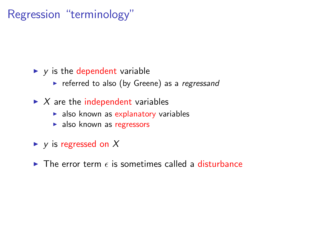## Regression "terminology"

#### $\blacktriangleright$  y is the dependent variable

- $\triangleright$  referred to also (by Greene) as a regressand
- $\blacktriangleright$  X are the independent variables
	- $\blacktriangleright$  also known as explanatory variables
	- $\blacktriangleright$  also known as regressors
- $\blacktriangleright$  y is regressed on X
- $\triangleright$  The error term  $\epsilon$  is sometimes called a disturbance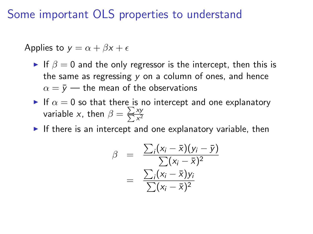Some important OLS properties to understand

Applies to  $y = \alpha + \beta x + \epsilon$ 

- If  $\beta = 0$  and the only regressor is the intercept, then this is the same as regressing  $y$  on a column of ones, and hence  $\alpha = \bar{v}$  — the mean of the observations
- If  $\alpha = 0$  so that there is no intercept and one explanatory variable x, then  $\beta = \sum_{n=1}^\infty$  $\Sigma$ xy  $x^2$
- If there is an intercept and one explanatory variable, then

$$
\beta = \frac{\sum_i (x_i - \bar{x})(y_i - \bar{y})}{\sum (x_i - \bar{x})^2}
$$

$$
= \frac{\sum_i (x_i - \bar{x})y_i}{\sum (x_i - \bar{x})^2}
$$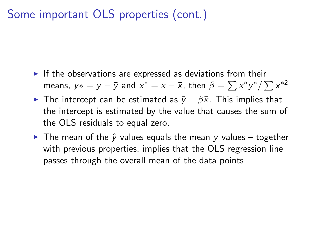## Some important OLS properties (cont.)

- $\blacktriangleright$  If the observations are expressed as deviations from their means,  $y*=y-\bar{y}$  and  $x^*=x-\bar{x}$ , then  $\beta=\sum x^*y^*/\sum x^{*2}$
- $\triangleright$  The intercept can be estimated as  $\bar{y} \beta \bar{x}$ . This implies that the intercept is estimated by the value that causes the sum of the OLS residuals to equal zero.
- $\triangleright$  The mean of the  $\hat{y}$  values equals the mean y values together with previous properties, implies that the OLS regression line passes through the overall mean of the data points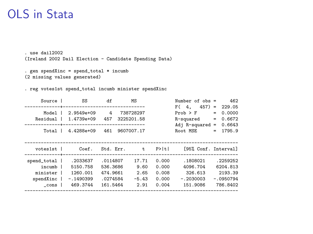## OLS in Stata

. use dail2002 (Ireland 2002 Dail Election - Candidate Spending Data)

```
. gen spendXinc = spend_total * incumb
(2 missing values generated)
```
. reg votes1st spend\_total incumb minister spendXinc

| Source      | SS                                | df        |  | MS                    |       | Number of $obs =$    |     | 462         |
|-------------|-----------------------------------|-----------|--|-----------------------|-------|----------------------|-----|-------------|
|             | -+------------------------------- |           |  |                       |       | $457$ =<br>F(4,      |     | 229.05      |
| Model       | 2.9549e+09                        | 4         |  | 738728297             |       | $Prob$ > $F$         | $=$ | 0.0000      |
| Residual    | 1.4739e+09                        | 457       |  | 3225201.58            |       | R-squared            | $=$ | 0.6672      |
|             |                                   |           |  | --------------------- |       | $Adj$ R-squared =    |     | 0.6643      |
| Total       | 4.4288e+09                        | 461       |  | 9607007.17            |       | Root MSE             | $=$ | 1795.9      |
|             |                                   |           |  |                       |       |                      |     |             |
| votesist    | Coef.                             | Std. Err. |  | $\mathsf{t}$ .        | P>  t | [95% Conf. Interval] |     |             |
|             |                                   |           |  |                       |       |                      |     |             |
| spend_total | .2033637                          | .0114807  |  | 17.71                 | 0.000 | .1808021             |     | .2259252    |
| incumb      | 5150.758                          | 536.3686  |  | 9.60                  | 0.000 | 4096.704             |     | 6204.813    |
| minister    | 1260.001                          | 474.9661  |  | 2.65                  | 0.008 | 326.613              |     | 2193.39     |
| spendXinc   | $-.1490399$                       | .0274584  |  | $-5.43$               | 0.000 | $-.2030003$          |     | $-.0950794$ |
| cons l      | 469.3744                          | 161.5464  |  | 2.91                  | 0.004 | 151.9086             |     | 786.8402    |
|             |                                   |           |  |                       |       |                      |     |             |
|             |                                   |           |  |                       |       |                      |     |             |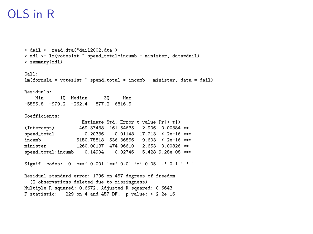### OLS in R

```
> dail <- read.dta("dail2002.dta")
> mdl <- lm(votes1st ~ spend_total*incumb + minister, data=dail)
> summary(mdl)
C<sub>2</sub>11.
lm(formula = votes1st m spend_total * incumb + minister, data = dail)
Residuals:
            Min 1Q Median 3Q Max
-5555.8 -979.2 -262.4 877.2 6816.5
Coefficients:
                     Estimate Std. Error t value Pr(>|t|)
(Intercept) 469.37438 161.54635 2.906 0.00384 **<br>spend total 0.20336 0.01148 17.713 < 2e-16 **
                       0.20336 0.01148 17.713 < 2e-16 ***
incumb 5150.75818 536.36856 9.603 < 2e-16 ***<br>minister 1260.00137 474.96610 2.653 0.00826 **
                   1260.00137 474.96610 2.653 0.00826 **
spend_total:incumb -0.14904 0.02746 -5.428 9.28e-08 ***
---
Signif. codes: 0 '***' 0.001 '**' 0.01 '*' 0.05 '.' 0.1 ' ' 1
Residual standard error: 1796 on 457 degrees of freedom
  (2 observations deleted due to missingness)
Multiple R-squared: 0.6672, Adjusted R-squared: 0.6643
F-statistic: 229 on 4 and 457 DF, p-value: < 2.2e-16
```